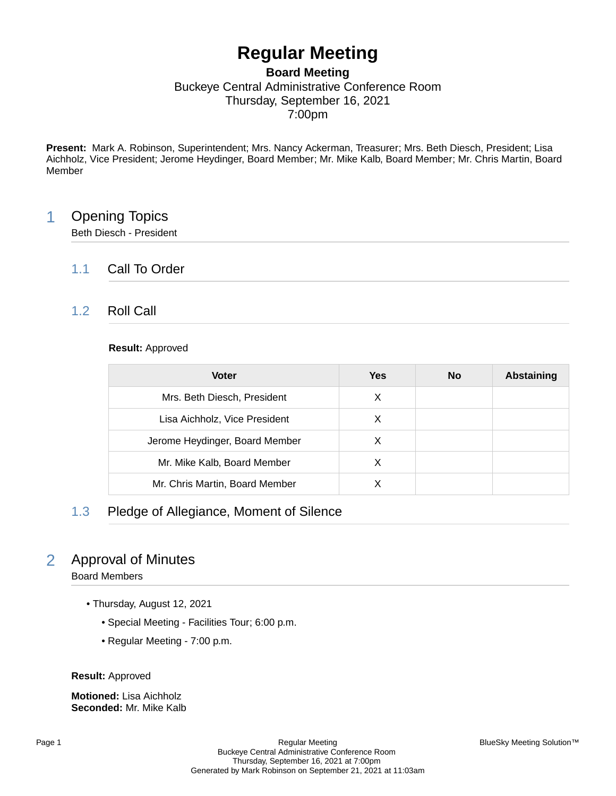# **Regular Meeting**

### **Board Meeting** Buckeye Central Administrative Conference Room Thursday, September 16, 2021 7:00pm

**Present:** Mark A. Robinson, Superintendent; Mrs. Nancy Ackerman, Treasurer; Mrs. Beth Diesch, President; Lisa Aichholz, Vice President; Jerome Heydinger, Board Member; Mr. Mike Kalb, Board Member; Mr. Chris Martin, Board Member

## 1 Opening Topics

Beth Diesch - President

### 1.1 Call To Order

### 1.2 Roll Call

#### **Result:** Approved

| <b>Voter</b>                   | Yes | <b>No</b> | <b>Abstaining</b> |
|--------------------------------|-----|-----------|-------------------|
| Mrs. Beth Diesch, President    | X   |           |                   |
| Lisa Aichholz, Vice President  | X   |           |                   |
| Jerome Heydinger, Board Member | Х   |           |                   |
| Mr. Mike Kalb, Board Member    | х   |           |                   |
| Mr. Chris Martin, Board Member |     |           |                   |

### 1.3 Pledge of Allegiance, Moment of Silence

## 2 Approval of Minutes

Board Members

- Thursday, August 12, 2021
	- Special Meeting Facilities Tour; 6:00 p.m.
	- Regular Meeting 7:00 p.m.

**Result:** Approved

**Motioned:** Lisa Aichholz **Seconded:** Mr. Mike Kalb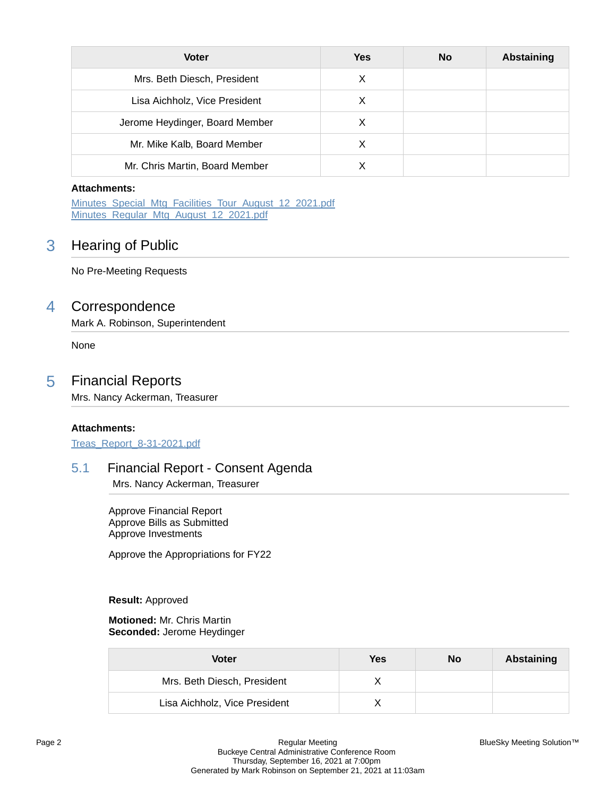| <b>Voter</b>                   | <b>Yes</b> | <b>No</b> | Abstaining |
|--------------------------------|------------|-----------|------------|
| Mrs. Beth Diesch, President    | X          |           |            |
| Lisa Aichholz, Vice President  | X          |           |            |
| Jerome Heydinger, Board Member | X          |           |            |
| Mr. Mike Kalb, Board Member    | Х          |           |            |
| Mr. Chris Martin, Board Member |            |           |            |

#### **Attachments:**

Minutes Special Mtg Facilities Tour August 12 2021.pdf [Minutes\\_Regular\\_Mtg\\_August\\_12\\_2021.pdf](https://bcbucks.blueskymeeting.com/meeting_groups/32/item_attachments/61037)

### 3 Hearing of Public

No Pre-Meeting Requests

### 4 Correspondence

Mark A. Robinson, Superintendent

None

### 5 Financial Reports

Mrs. Nancy Ackerman, Treasurer

#### **Attachments:**

[Treas\\_Report\\_8-31-2021.pdf](https://bcbucks.blueskymeeting.com/meeting_groups/32/item_attachments/61124)

### 5.1 Financial Report - Consent Agenda

Mrs. Nancy Ackerman, Treasurer

Approve Financial Report Approve Bills as Submitted Approve Investments

Approve the Appropriations for FY22

#### **Result:** Approved

**Motioned:** Mr. Chris Martin **Seconded:** Jerome Heydinger

| Voter                         | Yes | No | Abstaining |
|-------------------------------|-----|----|------------|
| Mrs. Beth Diesch, President   |     |    |            |
| Lisa Aichholz, Vice President |     |    |            |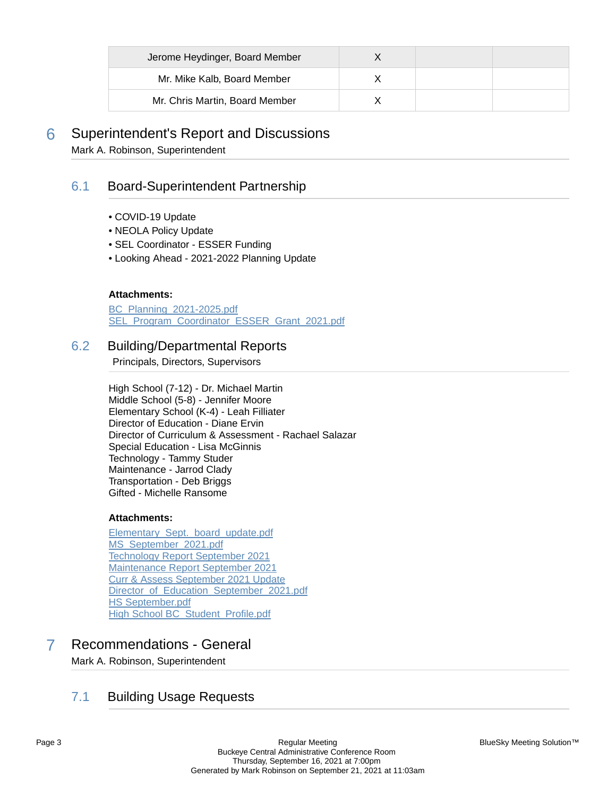| Jerome Heydinger, Board Member |  |  |
|--------------------------------|--|--|
| Mr. Mike Kalb, Board Member    |  |  |
| Mr. Chris Martin, Board Member |  |  |

## 6 Superintendent's Report and Discussions

Mark A. Robinson, Superintendent

### 6.1 Board-Superintendent Partnership

- COVID-19 Update
- NEOLA Policy Update
- SEL Coordinator ESSER Funding
- Looking Ahead 2021-2022 Planning Update

#### **Attachments:**

[BC\\_Planning\\_2021-2025.pdf](https://bcbucks.blueskymeeting.com/meeting_groups/32/item_attachments/61137) [SEL\\_Program\\_Coordinator\\_ESSER\\_Grant\\_2021.pdf](https://bcbucks.blueskymeeting.com/meeting_groups/32/item_attachments/61315)

### 6.2 Building/Departmental Reports

Principals, Directors, Supervisors

High School (7-12) - Dr. Michael Martin Middle School (5-8) - Jennifer Moore Elementary School (K-4) - Leah Filliater Director of Education - Diane Ervin Director of Curriculum & Assessment - Rachael Salazar Special Education - Lisa McGinnis Technology - Tammy Studer Maintenance - Jarrod Clady Transportation - Deb Briggs Gifted - Michelle Ransome

#### **Attachments:**

[Elementary\\_Sept.\\_board\\_update.pdf](https://bcbucks.blueskymeeting.com/meeting_groups/32/item_attachments/61043) [MS\\_September\\_2021.pdf](https://bcbucks.blueskymeeting.com/meeting_groups/32/item_attachments/61053) [Technology Report September 2021](https://bcbucks.blueskymeeting.com/meeting_groups/32/item_attachments/61139) [Maintenance Report September 2021](https://bcbucks.blueskymeeting.com/meeting_groups/32/item_attachments/61140) [Curr & Assess September 2021 Update](https://bcbucks.blueskymeeting.com/meeting_groups/32/item_attachments/61163) [Director\\_of\\_Education\\_September\\_2021.pdf](https://bcbucks.blueskymeeting.com/meeting_groups/32/item_attachments/61171) [HS September.pdf](https://bcbucks.blueskymeeting.com/meeting_groups/32/item_attachments/61172) [High School BC\\_Student\\_Profile.pdf](https://bcbucks.blueskymeeting.com/meeting_groups/32/item_attachments/61173)

## 7 Recommendations - General

Mark A. Robinson, Superintendent

### 7.1 Building Usage Requests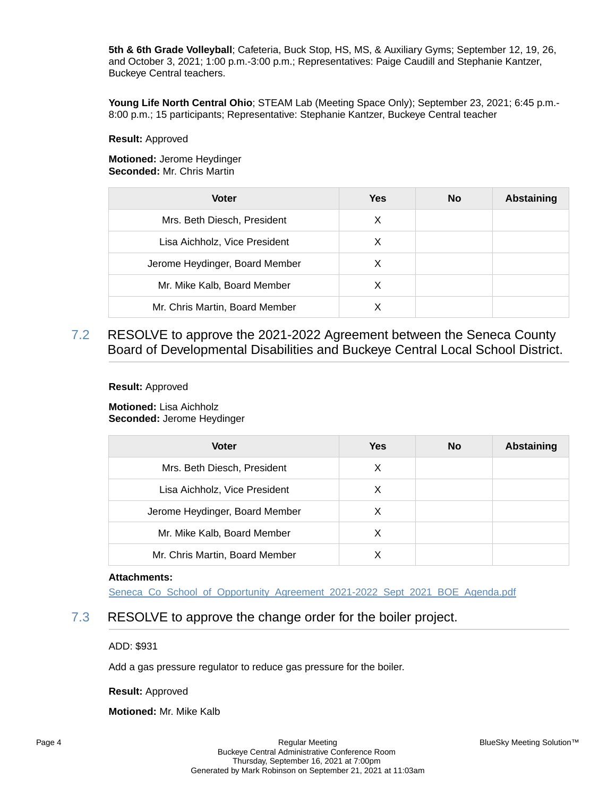**5th & 6th Grade Volleyball**; Cafeteria, Buck Stop, HS, MS, & Auxiliary Gyms; September 12, 19, 26, and October 3, 2021; 1:00 p.m.-3:00 p.m.; Representatives: Paige Caudill and Stephanie Kantzer, Buckeye Central teachers.

**Young Life North Central Ohio**; STEAM Lab (Meeting Space Only); September 23, 2021; 6:45 p.m.- 8:00 p.m.; 15 participants; Representative: Stephanie Kantzer, Buckeye Central teacher

#### **Result:** Approved

**Motioned:** Jerome Heydinger **Seconded:** Mr. Chris Martin

| <b>Voter</b>                   | <b>Yes</b> | <b>No</b> | <b>Abstaining</b> |
|--------------------------------|------------|-----------|-------------------|
| Mrs. Beth Diesch, President    | X          |           |                   |
| Lisa Aichholz, Vice President  | X          |           |                   |
| Jerome Heydinger, Board Member | X          |           |                   |
| Mr. Mike Kalb, Board Member    | Х          |           |                   |
| Mr. Chris Martin, Board Member |            |           |                   |

7.2 RESOLVE to approve the 2021-2022 Agreement between the Seneca County Board of Developmental Disabilities and Buckeye Central Local School District.

#### **Result:** Approved

**Motioned:** Lisa Aichholz **Seconded:** Jerome Heydinger

| <b>Voter</b>                   | <b>Yes</b> | <b>No</b> | <b>Abstaining</b> |
|--------------------------------|------------|-----------|-------------------|
| Mrs. Beth Diesch, President    | X          |           |                   |
| Lisa Aichholz, Vice President  | X          |           |                   |
| Jerome Heydinger, Board Member | X          |           |                   |
| Mr. Mike Kalb, Board Member    | X          |           |                   |
| Mr. Chris Martin, Board Member | X          |           |                   |

#### **Attachments:**

Seneca Co\_School\_of\_Opportunity\_Agreement\_2021-2022\_Sept\_2021\_BOE\_Agenda.pdf

### 7.3 RESOLVE to approve the change order for the boiler project.

ADD: \$931

Add a gas pressure regulator to reduce gas pressure for the boiler.

**Result:** Approved

**Motioned:** Mr. Mike Kalb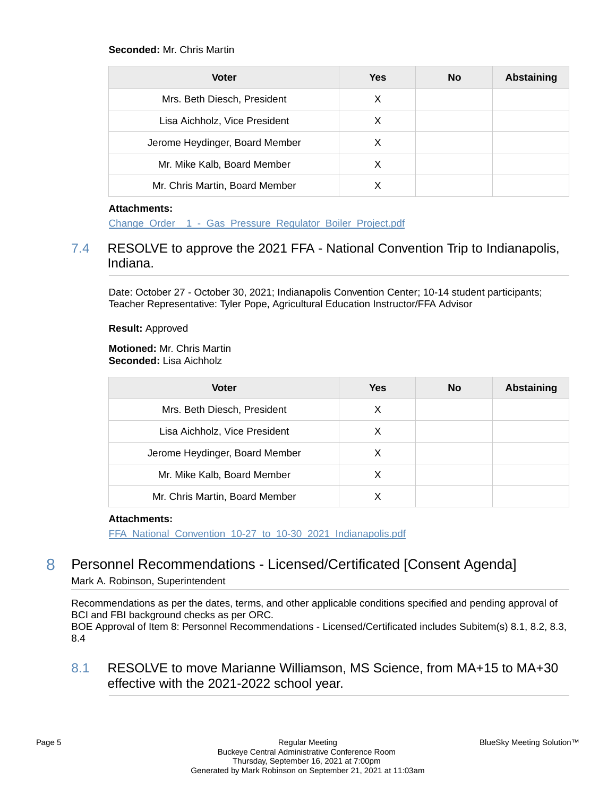#### **Seconded:** Mr. Chris Martin

| <b>Voter</b>                   | Yes | <b>No</b> | Abstaining |
|--------------------------------|-----|-----------|------------|
| Mrs. Beth Diesch, President    | X   |           |            |
| Lisa Aichholz, Vice President  | X   |           |            |
| Jerome Heydinger, Board Member | X   |           |            |
| Mr. Mike Kalb, Board Member    | X   |           |            |
| Mr. Chris Martin, Board Member |     |           |            |

#### **Attachments:**

Change\_Order \_1 - Gas\_Pressure\_Regulator\_Boiler\_Project.pdf

### 7.4 RESOLVE to approve the 2021 FFA - National Convention Trip to Indianapolis, Indiana.

Date: October 27 - October 30, 2021; Indianapolis Convention Center; 10-14 student participants; Teacher Representative: Tyler Pope, Agricultural Education Instructor/FFA Advisor

**Result:** Approved

**Motioned:** Mr. Chris Martin **Seconded:** Lisa Aichholz

| <b>Voter</b>                   | Yes | No | <b>Abstaining</b> |
|--------------------------------|-----|----|-------------------|
| Mrs. Beth Diesch, President    | X   |    |                   |
| Lisa Aichholz, Vice President  | X   |    |                   |
| Jerome Heydinger, Board Member | X   |    |                   |
| Mr. Mike Kalb, Board Member    | х   |    |                   |
| Mr. Chris Martin, Board Member |     |    |                   |

#### **Attachments:**

[FFA\\_National\\_Convention\\_10-27\\_to\\_10-30\\_2021\\_Indianapolis.pdf](https://bcbucks.blueskymeeting.com/meeting_groups/32/item_attachments/61247)

## 8 Personnel Recommendations - Licensed/Certificated [Consent Agenda]

Mark A. Robinson, Superintendent

Recommendations as per the dates, terms, and other applicable conditions specified and pending approval of BCI and FBI background checks as per ORC.

BOE Approval of Item 8: Personnel Recommendations - Licensed/Certificated includes Subitem(s) 8.1, 8.2, 8.3, 8.4

8.1 RESOLVE to move Marianne Williamson, MS Science, from MA+15 to MA+30 effective with the 2021-2022 school year.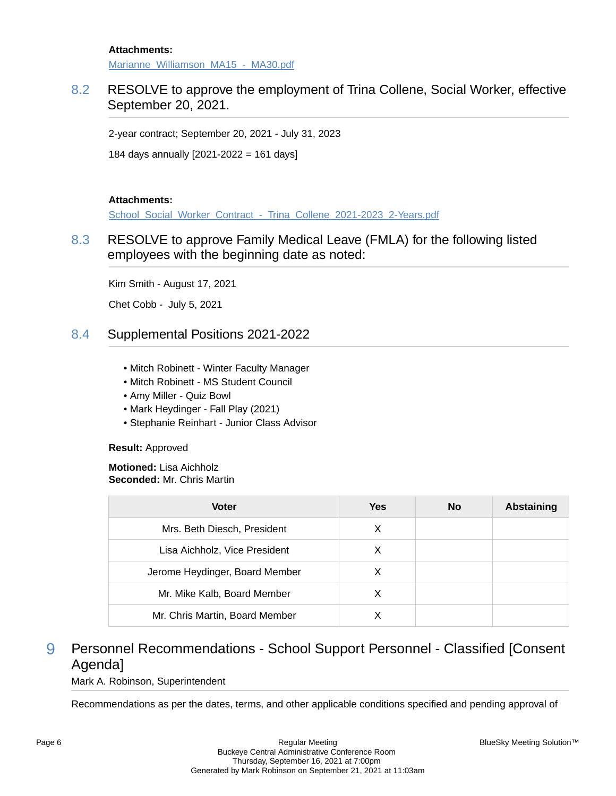#### **Attachments:**

Marianne\_Williamson\_MA15 - MA30.pdf

### 8.2 RESOLVE to approve the employment of Trina Collene, Social Worker, effective September 20, 2021.

2-year contract; September 20, 2021 - July 31, 2023

184 days annually [2021-2022 = 161 days]

#### **Attachments:**

School\_Social\_Worker\_Contract - Trina\_Collene\_2021-2023\_2-Years.pdf

### 8.3 RESOLVE to approve Family Medical Leave (FMLA) for the following listed employees with the beginning date as noted:

Kim Smith - August 17, 2021

Chet Cobb - July 5, 2021

### 8.4 Supplemental Positions 2021-2022

- Mitch Robinett Winter Faculty Manager
- Mitch Robinett MS Student Council
- Amy Miller Quiz Bowl
- Mark Heydinger Fall Play (2021)
- Stephanie Reinhart Junior Class Advisor

#### **Result:** Approved

#### **Motioned:** Lisa Aichholz **Seconded:** Mr. Chris Martin

| <b>Voter</b>                   | Yes | <b>No</b> | <b>Abstaining</b> |
|--------------------------------|-----|-----------|-------------------|
| Mrs. Beth Diesch, President    | X   |           |                   |
| Lisa Aichholz, Vice President  | X   |           |                   |
| Jerome Heydinger, Board Member | X   |           |                   |
| Mr. Mike Kalb, Board Member    | X   |           |                   |
| Mr. Chris Martin, Board Member |     |           |                   |

## 9 Personnel Recommendations - School Support Personnel - Classified [Consent Agenda]

Mark A. Robinson, Superintendent

Recommendations as per the dates, terms, and other applicable conditions specified and pending approval of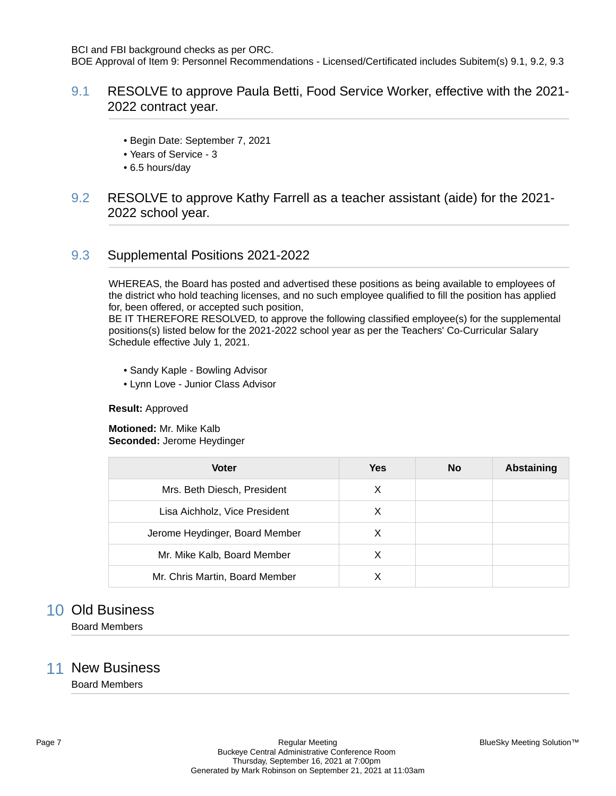BCI and FBI background checks as per ORC.

BOE Approval of Item 9: Personnel Recommendations - Licensed/Certificated includes Subitem(s) 9.1, 9.2, 9.3

### 9.1 RESOLVE to approve Paula Betti, Food Service Worker, effective with the 2021- 2022 contract year.

- Begin Date: September 7, 2021
- Years of Service 3
- 6.5 hours/day

### 9.2 RESOLVE to approve Kathy Farrell as a teacher assistant (aide) for the 2021- 2022 school year.

### 9.3 Supplemental Positions 2021-2022

WHEREAS, the Board has posted and advertised these positions as being available to employees of the district who hold teaching licenses, and no such employee qualified to fill the position has applied for, been offered, or accepted such position,

BE IT THEREFORE RESOLVED, to approve the following classified employee(s) for the supplemental positions(s) listed below for the 2021-2022 school year as per the Teachers' Co-Curricular Salary Schedule effective July 1, 2021.

- Sandy Kaple Bowling Advisor
- Lynn Love Junior Class Advisor

#### **Result:** Approved

**Motioned:** Mr. Mike Kalb **Seconded:** Jerome Heydinger

| <b>Voter</b>                   | Yes | <b>No</b> | <b>Abstaining</b> |
|--------------------------------|-----|-----------|-------------------|
| Mrs. Beth Diesch, President    | X   |           |                   |
| Lisa Aichholz, Vice President  | X   |           |                   |
| Jerome Heydinger, Board Member | X   |           |                   |
| Mr. Mike Kalb, Board Member    | X   |           |                   |
| Mr. Chris Martin, Board Member |     |           |                   |

## 10 Old Business

Board Members

### 11 New Business

Board Members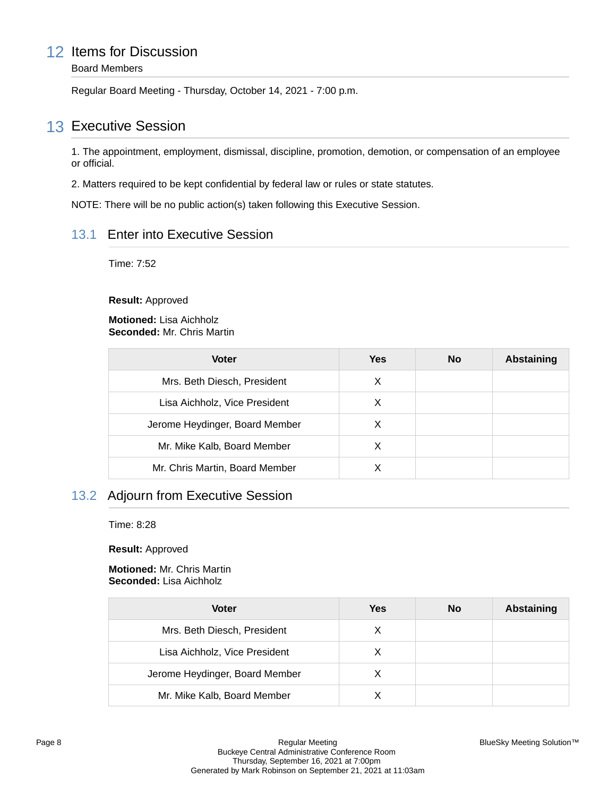## 12 Items for Discussion

Board Members

Regular Board Meeting - Thursday, October 14, 2021 - 7:00 p.m.

## 13 Executive Session

1. The appointment, employment, dismissal, discipline, promotion, demotion, or compensation of an employee or official.

2. Matters required to be kept confidential by federal law or rules or state statutes.

NOTE: There will be no public action(s) taken following this Executive Session.

### 13.1 Enter into Executive Session

Time: 7:52

**Result:** Approved

**Motioned:** Lisa Aichholz **Seconded:** Mr. Chris Martin

| <b>Voter</b>                   | <b>Yes</b> | <b>No</b> | <b>Abstaining</b> |
|--------------------------------|------------|-----------|-------------------|
| Mrs. Beth Diesch, President    | X          |           |                   |
| Lisa Aichholz, Vice President  | X          |           |                   |
| Jerome Heydinger, Board Member | X          |           |                   |
| Mr. Mike Kalb, Board Member    | X          |           |                   |
| Mr. Chris Martin, Board Member | х          |           |                   |

### 13.2 Adjourn from Executive Session

Time: 8:28

**Result:** Approved

#### **Motioned:** Mr. Chris Martin **Seconded:** Lisa Aichholz

| <b>Voter</b>                   | Yes | <b>No</b> | <b>Abstaining</b> |
|--------------------------------|-----|-----------|-------------------|
| Mrs. Beth Diesch, President    | X   |           |                   |
| Lisa Aichholz, Vice President  | X   |           |                   |
| Jerome Heydinger, Board Member | х   |           |                   |
| Mr. Mike Kalb, Board Member    |     |           |                   |